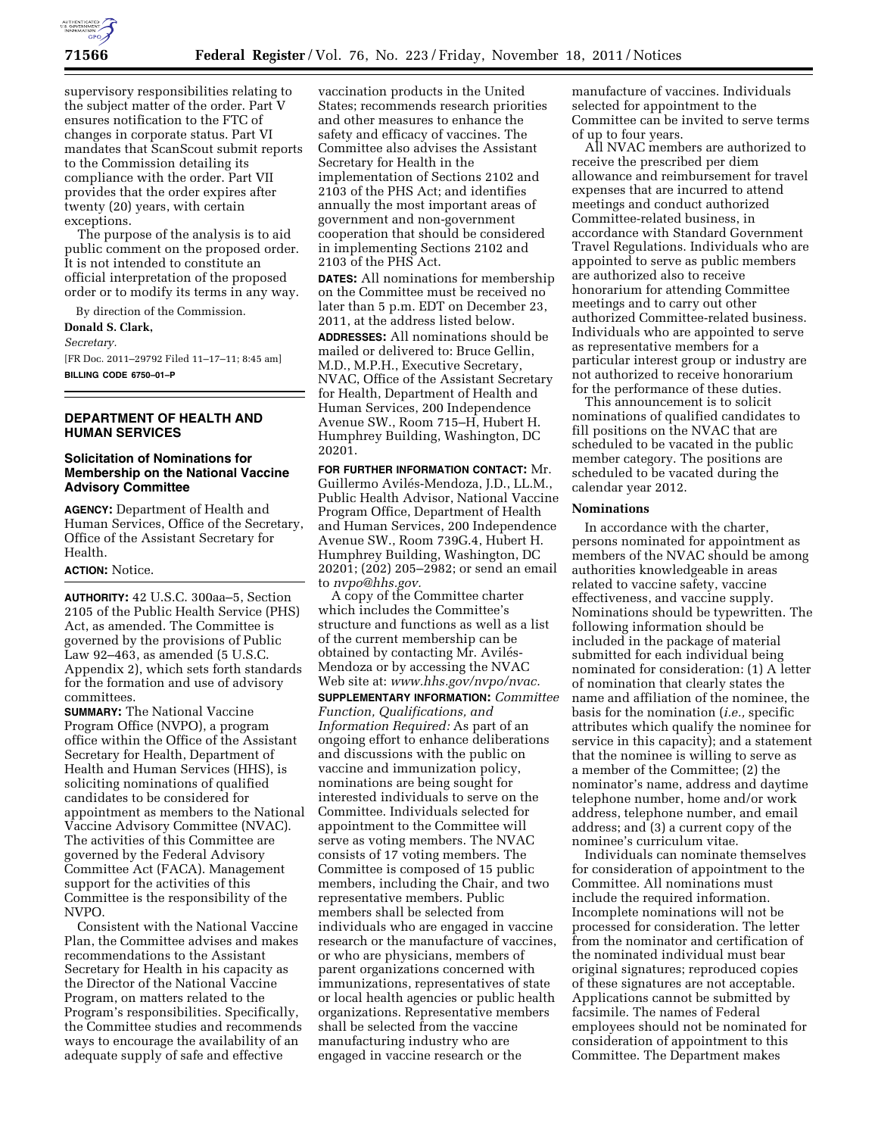

supervisory responsibilities relating to the subject matter of the order. Part V ensures notification to the FTC of changes in corporate status. Part VI mandates that ScanScout submit reports to the Commission detailing its compliance with the order. Part VII provides that the order expires after twenty (20) years, with certain exceptions.

The purpose of the analysis is to aid public comment on the proposed order. It is not intended to constitute an official interpretation of the proposed order or to modify its terms in any way.

By direction of the Commission.

#### **Donald S. Clark,**

*Secretary.* 

[FR Doc. 2011–29792 Filed 11–17–11; 8:45 am] **BILLING CODE 6750–01–P** 

### **DEPARTMENT OF HEALTH AND HUMAN SERVICES**

# **Solicitation of Nominations for Membership on the National Vaccine Advisory Committee**

**AGENCY:** Department of Health and Human Services, Office of the Secretary, Office of the Assistant Secretary for Health.

# **ACTION:** Notice.

**AUTHORITY:** 42 U.S.C. 300aa–5, Section 2105 of the Public Health Service (PHS) Act, as amended. The Committee is governed by the provisions of Public Law 92–463, as amended (5 U.S.C. Appendix 2), which sets forth standards for the formation and use of advisory committees.

**SUMMARY:** The National Vaccine Program Office (NVPO), a program office within the Office of the Assistant Secretary for Health, Department of Health and Human Services (HHS), is soliciting nominations of qualified candidates to be considered for appointment as members to the National Vaccine Advisory Committee (NVAC). The activities of this Committee are governed by the Federal Advisory Committee Act (FACA). Management support for the activities of this Committee is the responsibility of the NVPO.

Consistent with the National Vaccine Plan, the Committee advises and makes recommendations to the Assistant Secretary for Health in his capacity as the Director of the National Vaccine Program, on matters related to the Program's responsibilities. Specifically, the Committee studies and recommends ways to encourage the availability of an adequate supply of safe and effective

vaccination products in the United States; recommends research priorities and other measures to enhance the safety and efficacy of vaccines. The Committee also advises the Assistant Secretary for Health in the implementation of Sections 2102 and 2103 of the PHS Act; and identifies annually the most important areas of government and non-government cooperation that should be considered in implementing Sections 2102 and 2103 of the PHS Act.

**DATES:** All nominations for membership on the Committee must be received no later than 5 p.m. EDT on December 23, 2011, at the address listed below. **ADDRESSES:** All nominations should be mailed or delivered to: Bruce Gellin, M.D., M.P.H., Executive Secretary, NVAC, Office of the Assistant Secretary for Health, Department of Health and Human Services, 200 Independence Avenue SW., Room 715–H, Hubert H. Humphrey Building, Washington, DC 20201.

**FOR FURTHER INFORMATION CONTACT:** Mr. Guillermo Avilés-Mendoza, J.D., LL.M., Public Health Advisor, National Vaccine Program Office, Department of Health and Human Services, 200 Independence Avenue SW., Room 739G.4, Hubert H. Humphrey Building, Washington, DC 20201; (202) 205–2982; or send an email to *[nvpo@hhs.gov.](mailto:nvpo@hhs.gov)* 

A copy of the Committee charter which includes the Committee's structure and functions as well as a list of the current membership can be obtained by contacting Mr. Avilés-Mendoza or by accessing the NVAC Web site at: *[www.hhs.gov/nvpo/nvac.](http://www.hhs.gov/nvpo/nvac)* 

**SUPPLEMENTARY INFORMATION:** *Committee Function, Qualifications, and Information Required:* As part of an ongoing effort to enhance deliberations and discussions with the public on vaccine and immunization policy, nominations are being sought for interested individuals to serve on the Committee. Individuals selected for appointment to the Committee will serve as voting members. The NVAC consists of 17 voting members. The Committee is composed of 15 public members, including the Chair, and two representative members. Public members shall be selected from individuals who are engaged in vaccine research or the manufacture of vaccines, or who are physicians, members of parent organizations concerned with immunizations, representatives of state or local health agencies or public health organizations. Representative members shall be selected from the vaccine manufacturing industry who are engaged in vaccine research or the

manufacture of vaccines. Individuals selected for appointment to the Committee can be invited to serve terms of up to four years.

All NVAC members are authorized to receive the prescribed per diem allowance and reimbursement for travel expenses that are incurred to attend meetings and conduct authorized Committee-related business, in accordance with Standard Government Travel Regulations. Individuals who are appointed to serve as public members are authorized also to receive honorarium for attending Committee meetings and to carry out other authorized Committee-related business. Individuals who are appointed to serve as representative members for a particular interest group or industry are not authorized to receive honorarium for the performance of these duties.

This announcement is to solicit nominations of qualified candidates to fill positions on the NVAC that are scheduled to be vacated in the public member category. The positions are scheduled to be vacated during the calendar year 2012.

#### **Nominations**

In accordance with the charter, persons nominated for appointment as members of the NVAC should be among authorities knowledgeable in areas related to vaccine safety, vaccine effectiveness, and vaccine supply. Nominations should be typewritten. The following information should be included in the package of material submitted for each individual being nominated for consideration: (1) A letter of nomination that clearly states the name and affiliation of the nominee, the basis for the nomination (*i.e.,* specific attributes which qualify the nominee for service in this capacity); and a statement that the nominee is willing to serve as a member of the Committee; (2) the nominator's name, address and daytime telephone number, home and/or work address, telephone number, and email address; and (3) a current copy of the nominee's curriculum vitae.

Individuals can nominate themselves for consideration of appointment to the Committee. All nominations must include the required information. Incomplete nominations will not be processed for consideration. The letter from the nominator and certification of the nominated individual must bear original signatures; reproduced copies of these signatures are not acceptable. Applications cannot be submitted by facsimile. The names of Federal employees should not be nominated for consideration of appointment to this Committee. The Department makes